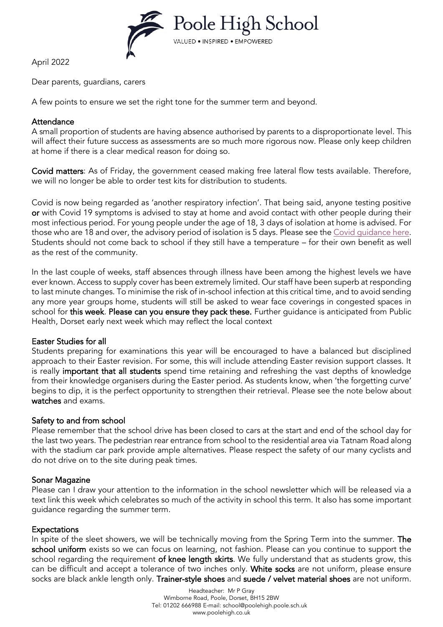

April 2022

Dear parents, guardians, carers

A few points to ensure we set the right tone for the summer term and beyond.

### **Attendance**

A small proportion of students are having absence authorised by parents to a disproportionate level. This will affect their future success as assessments are so much more rigorous now. Please only keep children at home if there is a clear medical reason for doing so.

Covid matters: As of Friday, the government ceased making free lateral flow tests available. Therefore, we will no longer be able to order test kits for distribution to students.

Covid is now being regarded as 'another respiratory infection'. That being said, anyone testing positive or with Covid 19 symptoms is advised to stay at home and avoid contact with other people during their most infectious period. For young people under the age of 18, 3 days of isolation at home is advised. For those who are 18 and over, the advisory period of isolation is 5 days. Please see the [Covid guidance here.](https://www.gov.uk/government/news/government-sets-out-next-steps-for-living-with-covid?utm_source=31%20March%202022%20C19&utm_medium=Daily%20Email%20C19&utm_campaign=DfE%20C19) Students should not come back to school if they still have a temperature – for their own benefit as well as the rest of the community.

In the last couple of weeks, staff absences through illness have been among the highest levels we have ever known. Access to supply cover has been extremely limited. Our staff have been superb at responding to last minute changes. To minimise the risk of in-school infection at this critical time, and to avoid sending any more year groups home, students will still be asked to wear face coverings in congested spaces in school for this week. Please can you ensure they pack these. Further guidance is anticipated from Public Health, Dorset early next week which may reflect the local context

# Easter Studies for all

Students preparing for examinations this year will be encouraged to have a balanced but disciplined approach to their Easter revision. For some, this will include attending Easter revision support classes. It is really important that all students spend time retaining and refreshing the vast depths of knowledge from their knowledge organisers during the Easter period. As students know, when 'the forgetting curve' begins to dip, it is the perfect opportunity to strengthen their retrieval. Please see the note below about watches and exams.

# Safety to and from school

Please remember that the school drive has been closed to cars at the start and end of the school day for the last two years. The pedestrian rear entrance from school to the residential area via Tatnam Road along with the stadium car park provide ample alternatives. Please respect the safety of our many cyclists and do not drive on to the site during peak times.

# Sonar Magazine

Please can I draw your attention to the information in the school newsletter which will be released via a text link this week which celebrates so much of the activity in school this term. It also has some important guidance regarding the summer term.

### Expectations

In spite of the sleet showers, we will be technically moving from the Spring Term into the summer. The school uniform exists so we can focus on learning, not fashion. Please can you continue to support the school regarding the requirement of knee length skirts. We fully understand that as students grow, this can be difficult and accept a tolerance of two inches only. White socks are not uniform, please ensure socks are black ankle length only. Trainer-style shoes and suede / velvet material shoes are not uniform.